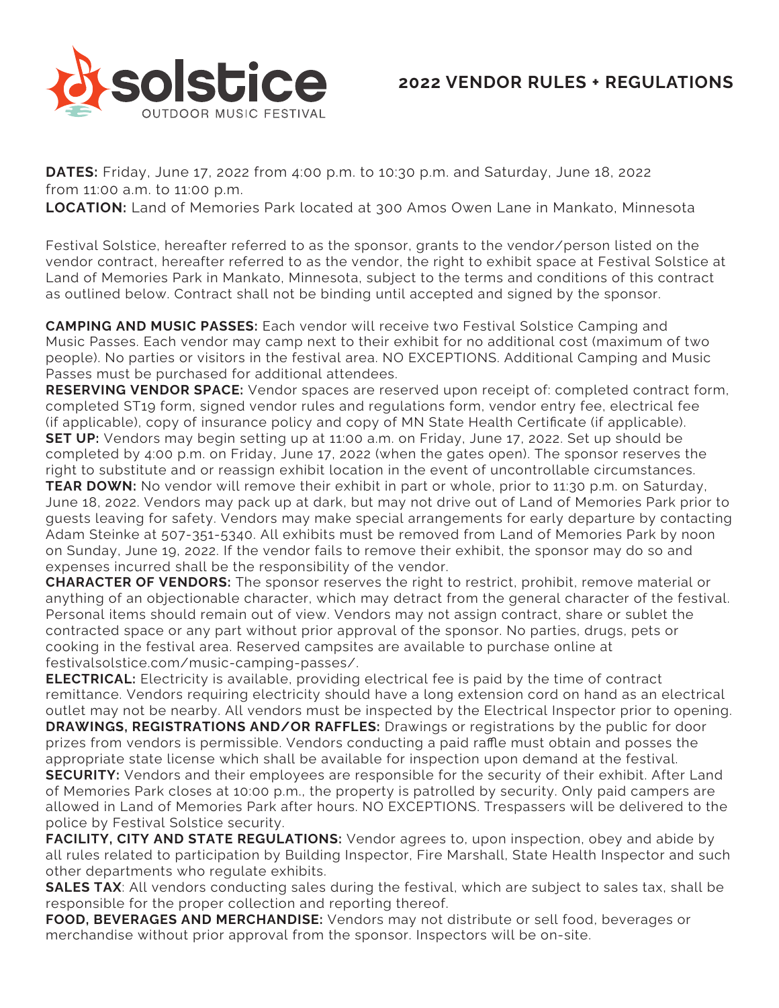

**DATES:** Friday, June 17, 2022 from 4:00 p.m. to 10:30 p.m. and Saturday, June 18, 2022 from 11:00 a.m. to 11:00 p.m.

**LOCATION:** Land of Memories Park located at 300 Amos Owen Lane in Mankato, Minnesota

Festival Solstice, hereafter referred to as the sponsor, grants to the vendor/person listed on the vendor contract, hereafter referred to as the vendor, the right to exhibit space at Festival Solstice at Land of Memories Park in Mankato, Minnesota, subject to the terms and conditions of this contract as outlined below. Contract shall not be binding until accepted and signed by the sponsor.

**CAMPING AND MUSIC PASSES:** Each vendor will receive two Festival Solstice Camping and Music Passes. Each vendor may camp next to their exhibit for no additional cost (maximum of two people). No parties or visitors in the festival area. NO EXCEPTIONS. Additional Camping and Music Passes must be purchased for additional attendees.

**RESERVING VENDOR SPACE:** Vendor spaces are reserved upon receipt of: completed contract form, completed ST19 form, signed vendor rules and regulations form, vendor entry fee, electrical fee (if applicable), copy of insurance policy and copy of MN State Health Certificate (if applicable). **SET UP:** Vendors may begin setting up at 11:00 a.m. on Friday, June 17, 2022. Set up should be completed by 4:00 p.m. on Friday, June 17, 2022 (when the gates open). The sponsor reserves the right to substitute and or reassign exhibit location in the event of uncontrollable circumstances.

**TEAR DOWN:** No vendor will remove their exhibit in part or whole, prior to 11:30 p.m. on Saturday, June 18, 2022. Vendors may pack up at dark, but may not drive out of Land of Memories Park prior to guests leaving for safety. Vendors may make special arrangements for early departure by contacting Adam Steinke at 507-351-5340. All exhibits must be removed from Land of Memories Park by noon on Sunday, June 19, 2022. If the vendor fails to remove their exhibit, the sponsor may do so and expenses incurred shall be the responsibility of the vendor.

**CHARACTER OF VENDORS:** The sponsor reserves the right to restrict, prohibit, remove material or anything of an objectionable character, which may detract from the general character of the festival. Personal items should remain out of view. Vendors may not assign contract, share or sublet the contracted space or any part without prior approval of the sponsor. No parties, drugs, pets or cooking in the festival area. Reserved campsites are available to purchase online at festivalsolstice.com/music-camping-passes/.

**ELECTRICAL:** Electricity is available, providing electrical fee is paid by the time of contract remittance. Vendors requiring electricity should have a long extension cord on hand as an electrical outlet may not be nearby. All vendors must be inspected by the Electrical Inspector prior to opening. **DRAWINGS, REGISTRATIONS AND/OR RAFFLES:** Drawings or registrations by the public for door prizes from vendors is permissible. Vendors conducting a paid raffle must obtain and posses the appropriate state license which shall be available for inspection upon demand at the festival. **SECURITY:** Vendors and their employees are responsible for the security of their exhibit. After Land of Memories Park closes at 10:00 p.m., the property is patrolled by security. Only paid campers are allowed in Land of Memories Park after hours. NO EXCEPTIONS. Trespassers will be delivered to the police by Festival Solstice security.

**FACILITY, CITY AND STATE REGULATIONS:** Vendor agrees to, upon inspection, obey and abide by all rules related to participation by Building Inspector, Fire Marshall, State Health Inspector and such other departments who regulate exhibits.

**SALES TAX**: All vendors conducting sales during the festival, which are subject to sales tax, shall be responsible for the proper collection and reporting thereof.

**FOOD, BEVERAGES AND MERCHANDISE:** Vendors may not distribute or sell food, beverages or merchandise without prior approval from the sponsor. Inspectors will be on-site.